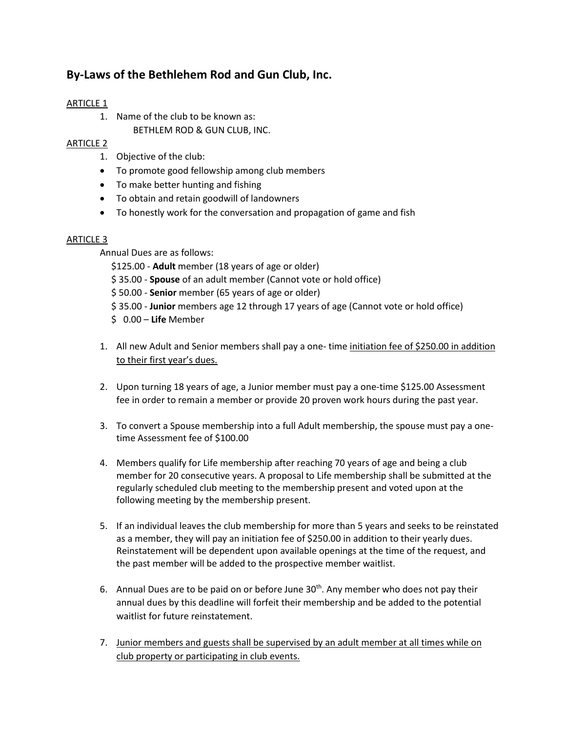## ARTICLE 1

1. Name of the club to be known as: BETHLEM ROD & GUN CLUB, INC.

### ARTICLE 2

- 1. Objective of the club:
- To promote good fellowship among club members
- To make better hunting and fishing
- To obtain and retain goodwill of landowners
- To honestly work for the conversation and propagation of game and fish

### ARTICLE 3

Annual Dues are as follows:

\$125.00 - **Adult** member (18 years of age or older)

- \$ 35.00 **Spouse** of an adult member (Cannot vote or hold office)
- \$ 50.00 **Senior** member (65 years of age or older)
- \$ 35.00 **Junior** members age 12 through 17 years of age (Cannot vote or hold office)
- \$ 0.00 **Life** Member
- 1. All new Adult and Senior members shall pay a one- time initiation fee of \$250.00 in addition to their first year's dues.
- 2. Upon turning 18 years of age, a Junior member must pay a one-time \$125.00 Assessment fee in order to remain a member or provide 20 proven work hours during the past year.
- 3. To convert a Spouse membership into a full Adult membership, the spouse must pay a onetime Assessment fee of \$100.00
- 4. Members qualify for Life membership after reaching 70 years of age and being a club member for 20 consecutive years. A proposal to Life membership shall be submitted at the regularly scheduled club meeting to the membership present and voted upon at the following meeting by the membership present.
- 5. If an individual leaves the club membership for more than 5 years and seeks to be reinstated as a member, they will pay an initiation fee of \$250.00 in addition to their yearly dues. Reinstatement will be dependent upon available openings at the time of the request, and the past member will be added to the prospective member waitlist.
- 6. Annual Dues are to be paid on or before June  $30<sup>th</sup>$ . Any member who does not pay their annual dues by this deadline will forfeit their membership and be added to the potential waitlist for future reinstatement.
- 7. Junior members and guests shall be supervised by an adult member at all times while on club property or participating in club events.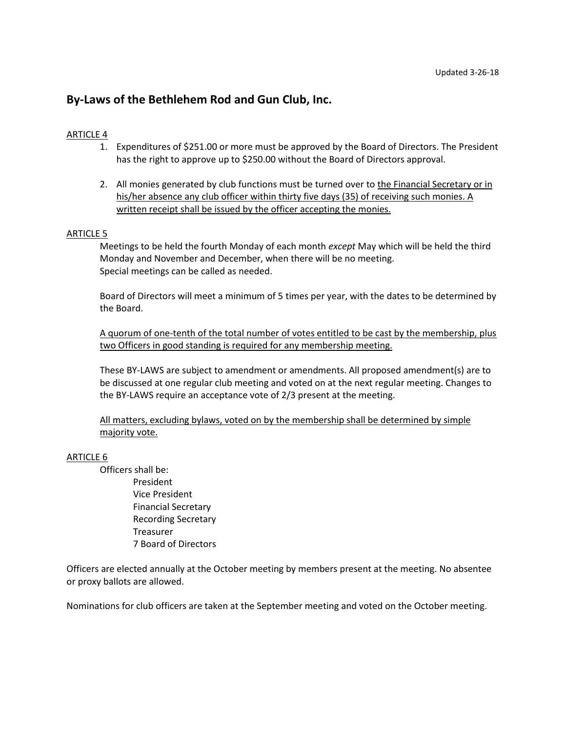### ARTICLE 4

- 1. Expenditures of \$251.00 or more must be approved by the Board of Directors. The President has the right to approve up to \$250.00 without the Board of Directors approval.
- 2. All monies generated by club functions must be turned over to the Financial Secretary or in his/her absence any club officer within thirty five days (35) of receiving such monies. A written receipt shall be issued by the officer accepting the monies.

#### ARTICLE 5

Meetings to be held the fourth Monday of each month *except* May which will be held the third Monday and November and December, when there will be no meeting. Special meetings can be called as needed.

Board of Directors will meet a minimum of 5 times per year, with the dates to be determined by the Board.

A quorum of one-tenth of the total number of votes entitled to be cast by the membership, plus two Officers in good standing is required for any membership meeting.

These BY-LAWS are subject to amendment or amendments. All proposed amendment(s) are to be discussed at one regular club meeting and voted on at the next regular meeting. Changes to the BY-LAWS require an acceptance vote of 2/3 present at the meeting.

All matters, excluding bylaws, voted on by the membership shall be determined by simple majority vote.

#### ARTICLE 6

Officers shall be: President Vice President Financial Secretary Recording Secretary Treasurer 7 Board of Directors

Officers are elected annually at the October meeting by members present at the meeting. No absentee or proxy ballots are allowed.

Nominations for club officers are taken at the September meeting and voted on the October meeting.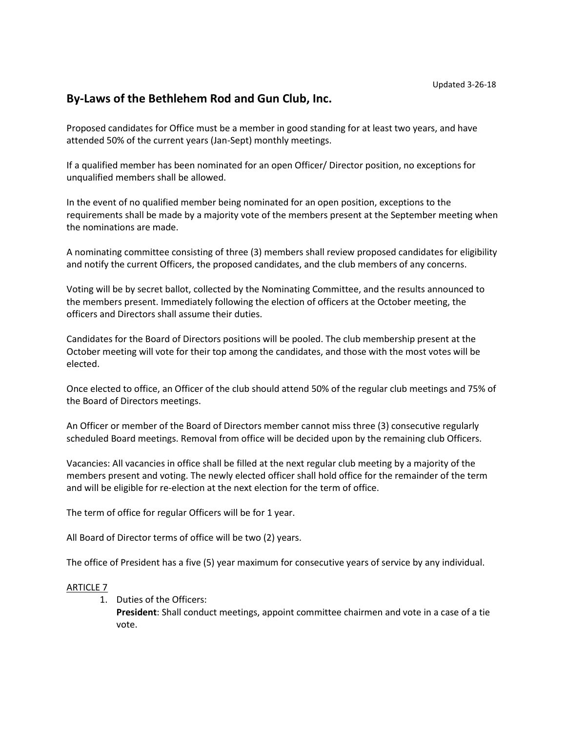Proposed candidates for Office must be a member in good standing for at least two years, and have attended 50% of the current years (Jan-Sept) monthly meetings.

If a qualified member has been nominated for an open Officer/ Director position, no exceptions for unqualified members shall be allowed.

In the event of no qualified member being nominated for an open position, exceptions to the requirements shall be made by a majority vote of the members present at the September meeting when the nominations are made.

A nominating committee consisting of three (3) members shall review proposed candidates for eligibility and notify the current Officers, the proposed candidates, and the club members of any concerns.

Voting will be by secret ballot, collected by the Nominating Committee, and the results announced to the members present. Immediately following the election of officers at the October meeting, the officers and Directors shall assume their duties.

Candidates for the Board of Directors positions will be pooled. The club membership present at the October meeting will vote for their top among the candidates, and those with the most votes will be elected.

Once elected to office, an Officer of the club should attend 50% of the regular club meetings and 75% of the Board of Directors meetings.

An Officer or member of the Board of Directors member cannot miss three (3) consecutive regularly scheduled Board meetings. Removal from office will be decided upon by the remaining club Officers.

Vacancies: All vacancies in office shall be filled at the next regular club meeting by a majority of the members present and voting. The newly elected officer shall hold office for the remainder of the term and will be eligible for re-election at the next election for the term of office.

The term of office for regular Officers will be for 1 year.

All Board of Director terms of office will be two (2) years.

The office of President has a five (5) year maximum for consecutive years of service by any individual.

### ARTICLE 7

1. Duties of the Officers:

**President**: Shall conduct meetings, appoint committee chairmen and vote in a case of a tie vote.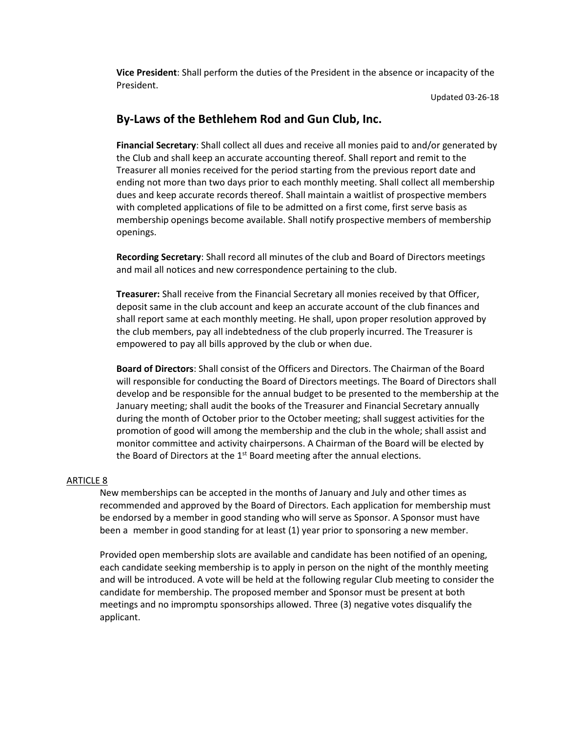**Vice President**: Shall perform the duties of the President in the absence or incapacity of the President.

Updated 03-26-18

## **By-Laws of the Bethlehem Rod and Gun Club, Inc.**

**Financial Secretary**: Shall collect all dues and receive all monies paid to and/or generated by the Club and shall keep an accurate accounting thereof. Shall report and remit to the Treasurer all monies received for the period starting from the previous report date and ending not more than two days prior to each monthly meeting. Shall collect all membership dues and keep accurate records thereof. Shall maintain a waitlist of prospective members with completed applications of file to be admitted on a first come, first serve basis as membership openings become available. Shall notify prospective members of membership openings.

**Recording Secretary**: Shall record all minutes of the club and Board of Directors meetings and mail all notices and new correspondence pertaining to the club.

**Treasurer:** Shall receive from the Financial Secretary all monies received by that Officer, deposit same in the club account and keep an accurate account of the club finances and shall report same at each monthly meeting. He shall, upon proper resolution approved by the club members, pay all indebtedness of the club properly incurred. The Treasurer is empowered to pay all bills approved by the club or when due.

**Board of Directors**: Shall consist of the Officers and Directors. The Chairman of the Board will responsible for conducting the Board of Directors meetings. The Board of Directors shall develop and be responsible for the annual budget to be presented to the membership at the January meeting; shall audit the books of the Treasurer and Financial Secretary annually during the month of October prior to the October meeting; shall suggest activities for the promotion of good will among the membership and the club in the whole; shall assist and monitor committee and activity chairpersons. A Chairman of the Board will be elected by the Board of Directors at the  $1<sup>st</sup>$  Board meeting after the annual elections.

#### ARTICLE 8

New memberships can be accepted in the months of January and July and other times as recommended and approved by the Board of Directors. Each application for membership must be endorsed by a member in good standing who will serve as Sponsor. A Sponsor must have been a member in good standing for at least (1) year prior to sponsoring a new member.

Provided open membership slots are available and candidate has been notified of an opening, each candidate seeking membership is to apply in person on the night of the monthly meeting and will be introduced. A vote will be held at the following regular Club meeting to consider the candidate for membership. The proposed member and Sponsor must be present at both meetings and no impromptu sponsorships allowed. Three (3) negative votes disqualify the applicant.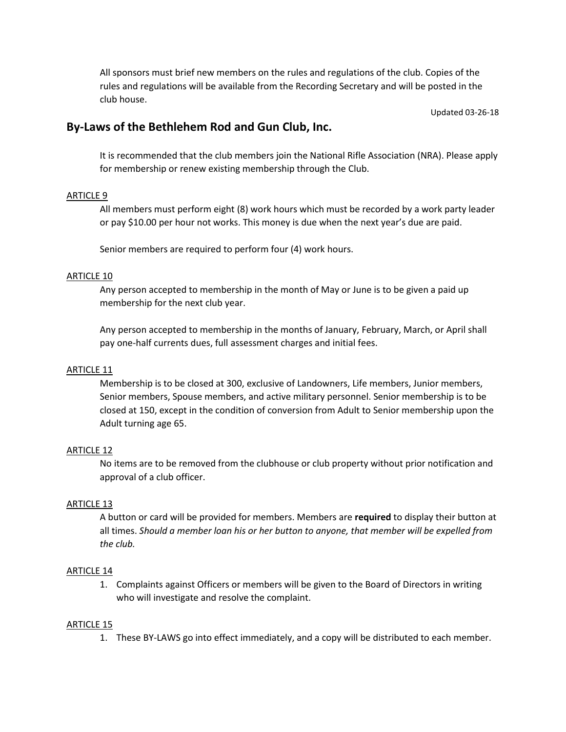All sponsors must brief new members on the rules and regulations of the club. Copies of the rules and regulations will be available from the Recording Secretary and will be posted in the club house.

Updated 03-26-18

## **By-Laws of the Bethlehem Rod and Gun Club, Inc.**

It is recommended that the club members join the National Rifle Association (NRA). Please apply for membership or renew existing membership through the Club.

### ARTICLE 9

All members must perform eight (8) work hours which must be recorded by a work party leader or pay \$10.00 per hour not works. This money is due when the next year's due are paid.

Senior members are required to perform four (4) work hours.

### ARTICLE 10

Any person accepted to membership in the month of May or June is to be given a paid up membership for the next club year.

Any person accepted to membership in the months of January, February, March, or April shall pay one-half currents dues, full assessment charges and initial fees.

### ARTICLE 11

Membership is to be closed at 300, exclusive of Landowners, Life members, Junior members, Senior members, Spouse members, and active military personnel. Senior membership is to be closed at 150, except in the condition of conversion from Adult to Senior membership upon the Adult turning age 65.

### ARTICLE 12

No items are to be removed from the clubhouse or club property without prior notification and approval of a club officer.

### ARTICLE 13

A button or card will be provided for members. Members are **required** to display their button at all times. *Should a member loan his or her button to anyone, that member will be expelled from the club.*

### ARTICLE 14

1. Complaints against Officers or members will be given to the Board of Directors in writing who will investigate and resolve the complaint.

### ARTICLE 15

1. These BY-LAWS go into effect immediately, and a copy will be distributed to each member.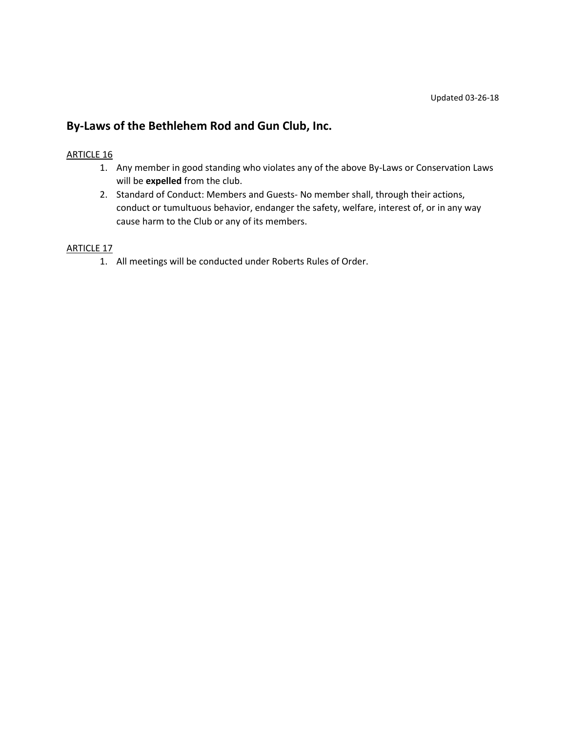### ARTICLE 16

- 1. Any member in good standing who violates any of the above By-Laws or Conservation Laws will be **expelled** from the club.
- 2. Standard of Conduct: Members and Guests- No member shall, through their actions, conduct or tumultuous behavior, endanger the safety, welfare, interest of, or in any way cause harm to the Club or any of its members.

### ARTICLE 17

1. All meetings will be conducted under Roberts Rules of Order.